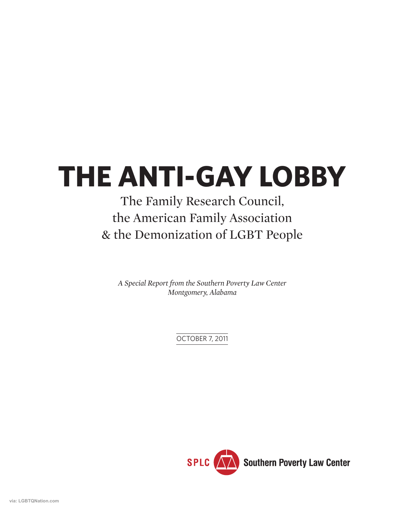# **THE ANTI-GAY LOBBY**

### The Family Research Council, the American Family Association & the Demonization of LGBT People

*A Special Report from the Southern Poverty Law Center Montgomery, Alabama*

OCTOBER 7, 2011

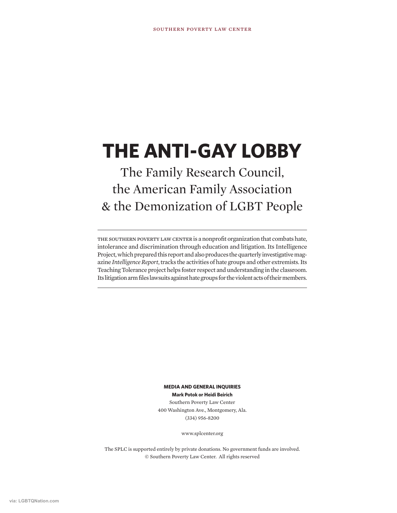# **THE ANTI-GAY LOBBY**

### The Family Research Council, the American Family Association & the Demonization of LGBT People

THE SOUTHERN POVERTY LAW CENTER is a nonprofit organization that combats hate, intolerance and discrimination through education and litigation. Its Intelligence Project, which prepared this report and also produces the quarterly investigative magazine *Intelligence Report*, tracks the activities of hate groups and other extremists. Its Teaching Tolerance project helps foster respect and understanding in the classroom. Its litigation arm files lawsuits against hate groups for the violent acts of their members.

> **MEDIA AND GENERAL INQUIRIES Mark Potok or Heidi Beirich** Southern Poverty Law Center 400 Washington Ave., Montgomery, Ala. (334) 956-8200

> > www.splcenter.org

The SPLC is supported entirely by private donations. No government funds are involved. © Southern Poverty Law Center. All rights reserved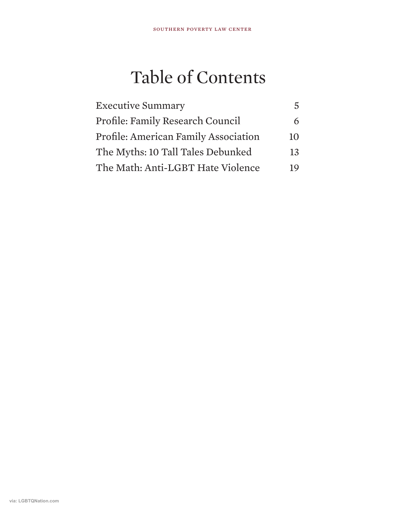# Table of Contents

| <b>Executive Summary</b>                    |    |
|---------------------------------------------|----|
| Profile: Family Research Council            |    |
| <b>Profile: American Family Association</b> | 10 |
| The Myths: 10 Tall Tales Debunked           | 13 |
| The Math: Anti-LGBT Hate Violence           | 19 |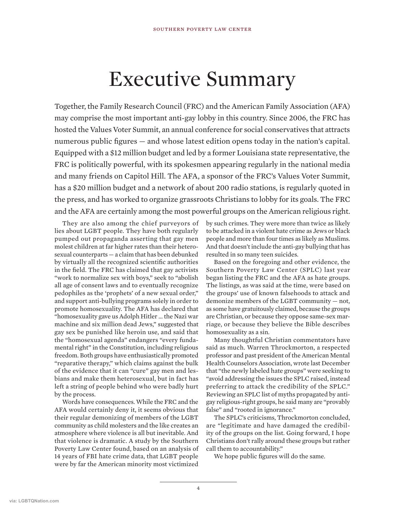# Executive Summary

Together, the Family Research Council (FRC) and the American Family Association (AFA) may comprise the most important anti-gay lobby in this country. Since 2006, the FRC has hosted the Values Voter Summit, an annual conference for social conservatives that attracts numerous public figures — and whose latest edition opens today in the nation's capital. Equipped with a \$12 million budget and led by a former Louisiana state representative, the FRC is politically powerful, with its spokesmen appearing regularly in the national media and many friends on Capitol Hill. The AFA, a sponsor of the FRC's Values Voter Summit, has a \$20 million budget and a network of about 200 radio stations, is regularly quoted in the press, and has worked to organize grassroots Christians to lobby for its goals. The FRC and the AFA are certainly among the most powerful groups on the American religious right.

They are also among the chief purveyors of lies about LGBT people. They have both regularly pumped out propaganda asserting that gay men molest children at far higher rates than their heterosexual counterparts — a claim that has been debunked by virtually all the recognized scientific authorities in the field. The FRC has claimed that gay activists "work to normalize sex with boys," seek to "abolish all age of consent laws and to eventually recognize pedophiles as the 'prophets' of a new sexual order," and support anti-bullying programs solely in order to promote homosexuality. The AFA has declared that "homosexuality gave us Adolph Hitler … the Nazi war machine and six million dead Jews," suggested that gay sex be punished like heroin use, and said that the "homosexual agenda" endangers "every fundamental right" in the Constitution, including religious freedom. Both groups have enthusiastically promoted "reparative therapy," which claims against the bulk of the evidence that it can "cure" gay men and lesbians and make them heterosexual, but in fact has left a string of people behind who were badly hurt by the process.

Words have consequences. While the FRC and the AFA would certainly deny it, it seems obvious that their regular demonizing of members of the LGBT community as child molesters and the like creates an atmosphere where violence is all but inevitable. And that violence is dramatic. A study by the Southern Poverty Law Center found, based on an analysis of 14 years of FBI hate crime data, that LGBT people were by far the American minority most victimized

by such crimes. They were more than twice as likely to be attacked in a violent hate crime as Jews or black people and more than four times as likely as Muslims. And that doesn't include the anti-gay bullying that has resulted in so many teen suicides.

Based on the foregoing and other evidence, the Southern Poverty Law Center (SPLC) last year began listing the FRC and the AFA as hate groups. The listings, as was said at the time, were based on the groups' use of known falsehoods to attack and demonize members of the LGBT community — not, as some have gratuitously claimed, because the groups are Christian, or because they oppose same-sex marriage, or because they believe the Bible describes homosexuality as a sin.

Many thoughtful Christian commentators have said as much. Warren Throckmorton, a respected professor and past president of the American Mental Health Counselors Association, wrote last December that "the newly labeled hate groups" were seeking to "avoid addressing the issues the SPLC raised, instead preferring to attack the credibility of the SPLC." Reviewing an SPLC list of myths propagated by antigay religious-right groups, he said many are "provably false" and "rooted in ignorance."

The SPLC's criticisms, Throckmorton concluded, are "legitimate and have damaged the credibility of the groups on the list. Going forward, I hope Christians don't rally around these groups but rather call them to accountability."

We hope public figures will do the same.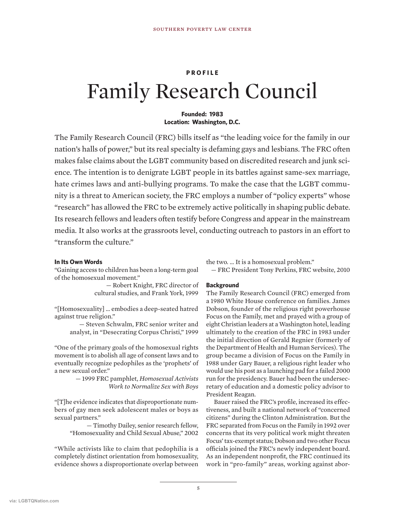#### **PROFILE**

## Family Research Council

#### **Founded: 1983 Location: Washington, D.C.**

The Family Research Council (FRC) bills itself as "the leading voice for the family in our nation's halls of power," but its real specialty is defaming gays and lesbians. The FRC often makes false claims about the LGBT community based on discredited research and junk science. The intention is to denigrate LGBT people in its battles against same-sex marriage, hate crimes laws and anti-bullying programs. To make the case that the LGBT community is a threat to American society, the FRC employs a number of "policy experts" whose "research" has allowed the FRC to be extremely active politically in shaping public debate. Its research fellows and leaders often testify before Congress and appear in the mainstream media. It also works at the grassroots level, conducting outreach to pastors in an effort to "transform the culture."

#### **In Its Own Words**

"Gaining access to children has been a long-term goal of the homosexual movement."

> — Robert Knight, FRC director of cultural studies, and Frank York, 1999

"[Homosexuality] … embodies a deep-seated hatred against true religion."

> — Steven Schwalm, FRC senior writer and analyst, in "Desecrating Corpus Christi," 1999

"One of the primary goals of the homosexual rights movement is to abolish all age of consent laws and to eventually recognize pedophiles as the 'prophets' of a new sexual order."

> — 1999 FRC pamphlet, *Homosexual Activists Work to Normalize Sex with Boys*

"[T]he evidence indicates that disproportionate numbers of gay men seek adolescent males or boys as sexual partners."

> — Timothy Dailey, senior research fellow, "Homosexuality and Child Sexual Abuse," 2002

"While activists like to claim that pedophilia is a completely distinct orientation from homosexuality, evidence shows a disproportionate overlap between

the two. … It is a homosexual problem."

— FRC President Tony Perkins, FRC website, 2010

#### **Background**

The Family Research Council (FRC) emerged from a 1980 White House conference on families. James Dobson, founder of the religious right powerhouse Focus on the Family, met and prayed with a group of eight Christian leaders at a Washington hotel, leading ultimately to the creation of the FRC in 1983 under the initial direction of Gerald Regnier (formerly of the Department of Health and Human Services). The group became a division of Focus on the Family in 1988 under Gary Bauer, a religious right leader who would use his post as a launching pad for a failed 2000 run for the presidency. Bauer had been the undersecretary of education and a domestic policy advisor to President Reagan.

Bauer raised the FRC's profile, increased its effectiveness, and built a national network of "concerned citizens" during the Clinton Administration. But the FRC separated from Focus on the Family in 1992 over concerns that its very political work might threaten Focus' tax-exempt status; Dobson and two other Focus officials joined the FRC's newly independent board. As an independent nonprofit, the FRC continued its work in "pro-family" areas, working against abor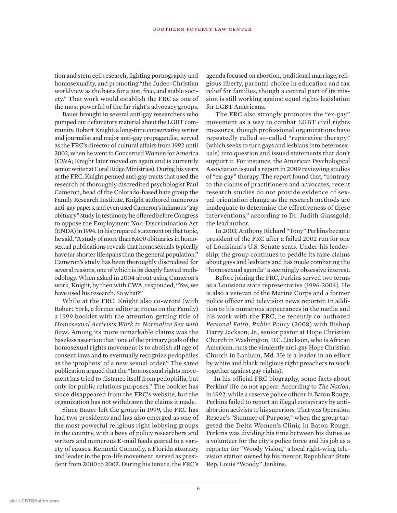tion and stem cell research, fighting pornography and homosexuality, and promoting "the Judeo-Christian worldview as the basis for a just, free, and stable society." That work would establish the FRC as one of the most powerful of the far right's advocacy groups.

Bauer brought in several anti-gay researchers who pumped out defamatory material about the LGBT community. Robert Knight, a long-time conservative writer and journalist and major anti-gay propagandist, served as the FRC's director of cultural affairs from 1992 until 2002, when he went to Concerned Women for America (CWA; Knight later moved on again and is currently senior writer at Coral Ridge Ministries). During his years at the FRC, Knight penned anti-gay tracts that used the research of thoroughly discredited psychologist Paul Cameron, head of the Colorado-based hate group the Family Research Institute. Knight authored numerous anti-gay papers, and even used Cameron's infamous "gay obituary" study in testimony he offered before Congress to oppose the Employment Non-Discrimination Act (ENDA) in 1994. In his prepared statement on that topic, he said, "A study of more than 6,400 obituaries in homosexual publications reveals that homosexuals typically have far shorter life spans than the general population." Cameron's study has been thoroughly discredited for several reasons, one of which is its deeply flawed methodology. When asked in 2004 about using Cameron's work, Knight, by then with CWA, responded, "Yes, we have used his research. So what?"

While at the FRC, Knight also co-wrote (with Robert York, a former editor at Focus on the Family) a 1999 booklet with the attention-getting title of *Homosexual Activists Work to Normalize Sex with Boys*. Among its more remarkable claims was the baseless assertion that "one of the primary goals of the homosexual rights movement is to abolish all age of consent laws and to eventually recognize pedophiles as the 'prophets' of a new sexual order." The same publication argued that the "homosexual rights movement has tried to distance itself from pedophilia, but only for public relations purposes." The booklet has since disappeared from the FRC's website, but the organization has not withdrawn the claims it made.

Since Bauer left the group in 1999, the FRC has had two presidents and has also emerged as one of the most powerful religious right lobbying groups in the country, with a bevy of policy researchers and writers and numerous E-mail feeds geared to a variety of causes. Kenneth Connolly, a Florida attorney and leader in the pro-life movement, served as president from 2000 to 2003. During his tenure, the FRC's

agenda focused on abortion, traditional marriage, religious liberty, parental choice in education and tax relief for families, though a central part of its mission is still working against equal rights legislation for LGBT Americans.

The FRC also strongly promotes the "ex-gay" movement as a way to combat LGBT civil rights measures, though professional organizations have repeatedly called so-called "reparative therapy" (which seeks to turn gays and lesbians into heterosexuals) into question and issued statements that don't support it. For instance, the American Psychological Association issued a report in 2009 reviewing studies of "ex-gay" therapy. The report found that, "contrary to the claims of practitioners and advocates, recent research studies do not provide evidence of sexual orientation change as the research methods are inadequate to determine the effectiveness of these interventions," according to Dr. Judith Glassgold, the lead author.

In 2003, Anthony Richard "Tony" Perkins became president of the FRC after a failed 2002 run for one of Louisiana's U.S. Senate seats. Under his leadership, the group continues to peddle its false claims about gays and lesbians and has made combating the "homosexual agenda" a seemingly obsessive interest.

Before joining the FRC, Perkins served two terms as a Louisiana state representative (1996-2004). He is also a veteran of the Marine Corps and a former police officer and television news reporter. In addition to his numerous appearances in the media and his work with the FRC, he recently co-authored *Personal Faith, Public Policy* (2008) with Bishop Harry Jackson, Jr., senior pastor at Hope Christian Church in Washington, D.C. (Jackson, who is African American, runs the virulently anti-gay Hope Christian Church in Lanham, Md. He is a leader in an effort by white and black religious right preachers to work together against gay rights).

In his official FRC biography, some facts about Perkins' life do not appear. According to *The Nation*, in 1992, while a reserve police officer in Baton Rouge, Perkins failed to report an illegal conspiracy by antiabortion activists to his superiors. That was Operation Rescue's "Summer of Purpose," when the group targeted the Delta Women's Clinic in Baton Rouge. Perkins was dividing his time between his duties as a volunteer for the city's police force and his job as a reporter for "Woody Vision," a local right-wing television station owned by his mentor, Republican State Rep. Louis "Woody" Jenkins.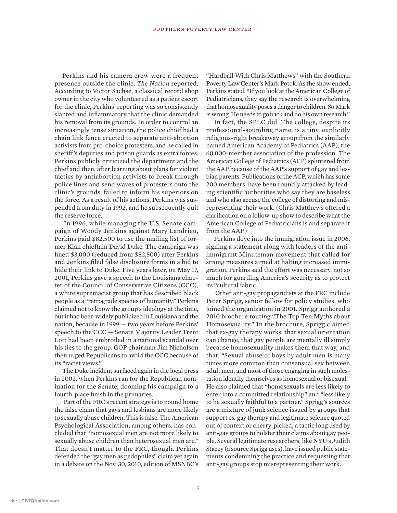Perkins and his camera crew were a frequent presence outside the clinic, *The Nation* reported. According to Victor Sachse, a classical record shop owner in the city who volunteered as a patient escort for the clinic, Perkins' reporting was so consistently slanted and inflammatory that the clinic demanded his removal from its grounds. In order to control an increasingly tense situation, the police chief had a chain link fence erected to separate anti-abortion activists from pro-choice protesters, and he called in sheriff's deputies and prison guards as extra forces. Perkins publicly criticized the department and the chief and then, after learning about plans for violent tactics by antiabortion activists to break through police lines and send waves of protesters onto the clinic's grounds, failed to inform his superiors on the force. As a result of his actions, Perkins was suspended from duty in 1992, and he subsequently quit the reserve force.

In 1996, while managing the U.S. Senate campaign of Woody Jenkins against Mary Landrieu, Perkins paid \$82,500 to use the mailing list of former Klan chieftain David Duke. The campaign was fined \$3,000 (reduced from \$82,500) after Perkins and Jenkins filed false disclosure forms in a bid to hide their link to Duke. Five years later, on May 17, 2001, Perkins gave a speech to the Louisiana chapter of the Council of Conservative Citizens (CCC), a white supremacist group that has described black people as a "retrograde species of humanity." Perkins claimed not to know the group's ideology at the time, but it had been widely publicized in Louisiana and the nation, because in 1999 — two years before Perkins' speech to the CCC — Senate Majority Leader Trent Lott had been embroiled in a national scandal over his ties to the group. GOP chairman Jim Nicholson then urged Republicans to avoid the CCC because of its "racist views."

The Duke incident surfaced again in the local press in 2002, when Perkins ran for the Republican nomination for the Senate, dooming his campaign to a fourth-place finish in the primaries.

Part of the FRC's recent strategy is to pound home the false claim that gays and lesbians are more likely to sexually abuse children. This is false. The American Psychological Association, among others, has concluded that "homosexual men are not more likely to sexually abuse children than heterosexual men are." That doesn't matter to the FRC, though. Perkins defended the "gay men as pedophiles" claim yet again in a debate on the Nov. 30, 2010, edition of MSNBC's

"Hardball With Chris Matthews" with the Southern Poverty Law Center's Mark Potok. As the show ended, Perkins stated, "If you look at the American College of Pediatricians, they say the research is overwhelming that homosexuality poses a danger to children. So Mark is wrong. He needs to go back and do his own research."

In fact, the SPLC did. The college, despite its professional-sounding name, is a tiny, explicitly religious-right breakaway group from the similarly named American Academy of Pediatrics (AAP), the 60,000-member association of the profession. The American College of Pediatrics (ACP) splintered from the AAP because of the AAP's support of gay and lesbian parents. Publications of the ACP, which has some 200 members, have been roundly attacked by leading scientific authorities who say they are baseless and who also accuse the college of distorting and misrepresenting their work. (Chris Matthews offered a clarification on a follow-up show to describe what the American College of Pediatricians is and separate it from the AAP.)

Perkins dove into the immigration issue in 2006, signing a statement along with leaders of the antiimmigrant Minuteman movement that called for strong measures aimed at halting increased immigration. Perkins said the effort was necessary, not so much for guarding America's security as to protect its "cultural fabric.

Other anti-gay propagandists at the FRC include Peter Sprigg, senior fellow for policy studies, who joined the organization in 2001. Sprigg authored a 2010 brochure touting "The Top Ten Myths about Homosexuality." In the brochure, Sprigg claimed that ex-gay therapy works, that sexual orientation can change, that gay people are mentally ill simply because homosexuality makes them that way, and that, "Sexual abuse of boys by adult men is many times more common than consensual sex between adult men, and most of those engaging in such molestation identify themselves as homosexual or bisexual." He also claimed that "homosexuals are less likely to enter into a committed relationship" and "less likely to be sexually faithful to a partner." Sprigg's sources are a mixture of junk science issued by groups that support ex-gay therapy and legitimate science quoted out of context or cherry-picked, a tactic long used by anti-gay groups to bolster their claims about gay people. Several legitimate researchers, like NYU's Judith Stacey (a source Sprigg uses), have issued public statements condemning the practice and requesting that anti-gay groups stop misrepresenting their work.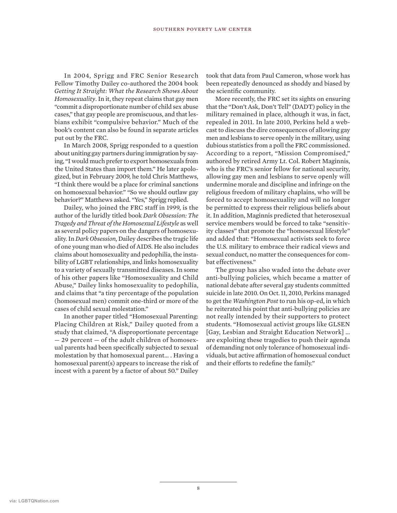In 2004, Sprigg and FRC Senior Research Fellow Timothy Dailey co-authored the 2004 book *Getting It Straight: What the Research Shows About Homosexuality*. In it, they repeat claims that gay men "commit a disproportionate number of child sex abuse cases," that gay people are promiscuous, and that lesbians exhibit "compulsive behavior." Much of the book's content can also be found in separate articles put out by the FRC.

In March 2008, Sprigg responded to a question about uniting gay partners during immigration by saying, "I would much prefer to export homosexuals from the United States than import them." He later apologized, but in February 2009, he told Chris Matthews, "I think there would be a place for criminal sanctions on homosexual behavior." "So we should outlaw gay behavior?" Matthews asked. "Yes," Sprigg replied.

Dailey, who joined the FRC staff in 1999, is the author of the luridly titled book *Dark Obsession: The Tragedy and Threat of the Homosexual Lifestyle* as well as several policy papers on the dangers of homosexuality. In *Dark Obsession,* Dailey describes the tragic life of one young man who died of AIDS. He also includes claims about homosexuality and pedophilia, the instability of LGBT relationships, and links homosexuality to a variety of sexually transmitted diseases. In some of his other papers like "Homosexuality and Child Abuse," Dailey links homosexuality to pedophilia, and claims that "a tiny percentage of the population (homosexual men) commit one-third or more of the cases of child sexual molestation."

In another paper titled "Homosexual Parenting: Placing Children at Risk," Dailey quoted from a study that claimed, "A disproportionate percentage — 29 percent — of the adult children of homosexual parents had been specifically subjected to sexual molestation by that homosexual parent… . Having a homosexual parent(s) appears to increase the risk of incest with a parent by a factor of about 50." Dailey

took that data from Paul Cameron, whose work has been repeatedly denounced as shoddy and biased by the scientific community.

More recently, the FRC set its sights on ensuring that the "Don't Ask, Don't Tell" (DADT) policy in the military remained in place, although it was, in fact, repealed in 2011. In late 2010, Perkins held a webcast to discuss the dire consequences of allowing gay men and lesbians to serve openly in the military, using dubious statistics from a poll the FRC commissioned. According to a report, "Mission Compromised," authored by retired Army Lt. Col. Robert Maginnis, who is the FRC's senior fellow for national security, allowing gay men and lesbians to serve openly will undermine morale and discipline and infringe on the religious freedom of military chaplains, who will be forced to accept homosexuality and will no longer be permitted to express their religious beliefs about it. In addition, Maginnis predicted that heterosexual service members would be forced to take "sensitivity classes" that promote the "homosexual lifestyle" and added that: "Homosexual activists seek to force the U.S. military to embrace their radical views and sexual conduct, no matter the consequences for combat effectiveness."

The group has also waded into the debate over anti-bullying policies, which became a matter of national debate after several gay students committed suicide in late 2010. On Oct. 11, 2010, Perkins managed to get the *Washington Post* to run his op-ed, in which he reiterated his point that anti-bullying policies are not really intended by their supporters to protect students. "Homosexual activist groups like GLSEN [Gay, Lesbian and Straight Education Network] … are exploiting these tragedies to push their agenda of demanding not only tolerance of homosexual individuals, but active affirmation of homosexual conduct and their efforts to redefine the family."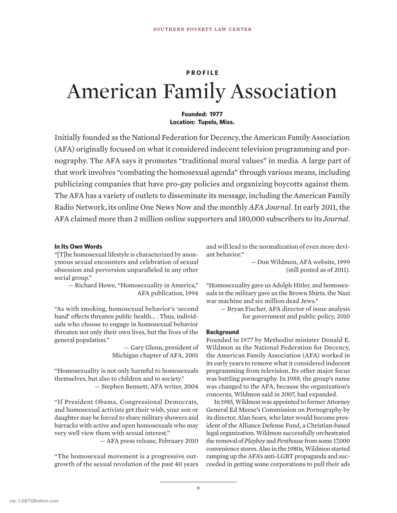#### **PROFILE**

# American Family Association

#### **Founded: 1977 Location: Tupelo, Miss.**

Initially founded as the National Federation for Decency, the American Family Association (AFA) originally focused on what it considered indecent television programming and pornography. The AFA says it promotes "traditional moral values" in media. A large part of that work involves "combating the homosexual agenda" through various means, including publicizing companies that have pro-gay policies and organizing boycotts against them. The AFA has a variety of outlets to disseminate its message, including the American Family Radio Network, its online One News Now and the monthly *AFA Journal*. In early 2011, the AFA claimed more than 2 million online supporters and 180,000 subscribers to its *Journal*.

#### **In Its Own Words**

"[T]he homosexual lifestyle is characterized by anonymous sexual encounters and celebration of sexual obsession and perversion unparalleled in any other social group."

— Richard Howe, "Homosexuality in America," AFA publication, 1994

"As with smoking, homosexual behavior's 'second hand' effects threaten public health… . Thus, individuals who choose to engage in homosexual behavior threaten not only their own lives, but the lives of the general population."

> — Gary Glenn, president of Michigan chapter of AFA, 2001

"Homosexuality is not only harmful to homosexuals themselves, but also to children and to society." — Stephen Bennett, AFA writer, 2004

"If President Obama, Congressional Democrats, and homosexual activists get their wish, your son or daughter may be forced to share military showers and barracks with active and open homosexuals who may very well view them with sexual interest."

— AFA press release, February 2010

"The homosexual movement is a progressive outgrowth of the sexual revolution of the past 40 years and will lead to the normalization of even more deviant behavior."

> — Don Wildmon, AFA website, 1999 (still posted as of 2011).

"Homosexuality gave us Adolph Hitler, and homosexuals in the military gave us the Brown Shirts, the Nazi war machine and six million dead Jews."

— Bryan Fischer, AFA director of issue analysis for government and public policy, 2010

#### **Background**

Founded in 1977 by Methodist minister Donald E. Wildmon as the National Federation for Decency, the American Family Association (AFA) worked in its early years to remove what it considered indecent programming from television. Its other major focus was battling pornography. In 1988, the group's name was changed to the AFA, because the organization's concerns, Wildmon said in 2007, had expanded.

In 1985, Wildmon was appointed to former Attorney General Ed Meese's Commission on Pornography by its director, Alan Sears, who later would become president of the Alliance Defense Fund, a Christian-based legal organization. Wildmon successfully orchestrated the removal of *Playboy* and *Penthouse* from some 17,000 convenience stores. Also in the 1980s, Wildmon started ramping up the AFA's anti-LGBT propaganda and succeeded in getting some corporations to pull their ads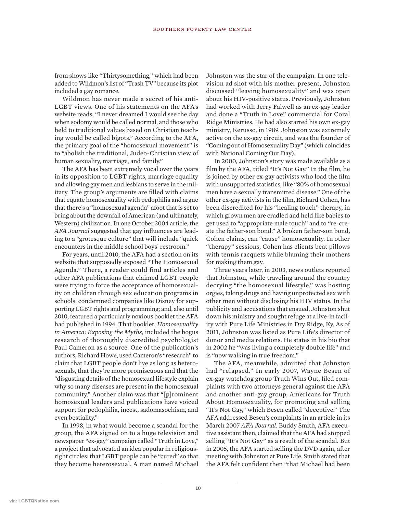from shows like "Thirtysomething," which had been added to Wildmon's list of "Trash TV" because its plot included a gay romance.

Wildmon has never made a secret of his anti-LGBT views. One of his statements on the AFA's website reads, "I never dreamed I would see the day when sodomy would be called normal, and those who held to traditional values based on Christian teaching would be called bigots." According to the AFA, the primary goal of the "homosexual movement" is to "abolish the traditional, Judeo-Christian view of human sexuality, marriage, and family."

The AFA has been extremely vocal over the years in its opposition to LGBT rights, marriage equality and allowing gay men and lesbians to serve in the military. The group's arguments are filled with claims that equate homosexuality with pedophilia and argue that there's a "homosexual agenda" afoot that is set to bring about the downfall of American (and ultimately, Western) civilization. In one October 2004 article, the *AFA Journal* suggested that gay influences are leading to a "grotesque culture" that will include "quick encounters in the middle school boys' restroom."

For years, until 2010, the AFA had a section on its website that supposedly exposed "The Homosexual Agenda." There, a reader could find articles and other AFA publications that claimed LGBT people were trying to force the acceptance of homosexuality on children through sex education programs in schools; condemned companies like Disney for supporting LGBT rights and programming; and, also until 2010, featured a particularly noxious booklet the AFA had published in 1994. That booklet, *Homosexuality in America: Exposing the Myths*, included the bogus research of thoroughly discredited psychologist Paul Cameron as a source. One of the publication's authors, Richard Howe, used Cameron's "research" to claim that LGBT people don't live as long as heterosexuals, that they're more promiscuous and that the "disgusting details of the homosexual lifestyle explain why so many diseases are present in the homosexual community." Another claim was that "[p]rominent homosexual leaders and publications have voiced support for pedophilia, incest, sadomasochism, and even bestiality."

In 1998, in what would become a scandal for the group, the AFA signed on to a huge television and newspaper "ex-gay" campaign called "Truth in Love," a project that advocated an idea popular in religiousright circles: that LGBT people can be "cured" so that they become heterosexual. A man named Michael

Johnston was the star of the campaign. In one television ad shot with his mother present, Johnston discussed "leaving homosexuality" and was open about his HIV-positive status. Previously, Johnston had worked with Jerry Falwell as an ex-gay leader and done a "Truth in Love" commercial for Coral Ridge Ministries. He had also started his own ex-gay ministry, Kerusso, in 1989. Johnston was extremely active on the ex-gay circuit, and was the founder of "Coming out of Homosexuality Day" (which coincides with National Coming Out Day).

In 2000, Johnston's story was made available as a film by the AFA, titled "It's Not Gay." In the film, he is joined by other ex-gay activists who load the film with unsupported statistics, like "80% of homosexual men have a sexually transmitted disease." One of the other ex-gay activists in the film, Richard Cohen, has been discredited for his "healing touch" therapy, in which grown men are cradled and held like babies to get used to "appropriate male touch" and to "re-create the father-son bond." A broken father-son bond, Cohen claims, can "cause" homosexuality. In other "therapy" sessions, Cohen has clients beat pillows with tennis racquets while blaming their mothers for making them gay.

Three years later, in 2003, news outlets reported that Johnston, while traveling around the country decrying "the homosexual lifestyle," was hosting orgies, taking drugs and having unprotected sex with other men without disclosing his HIV status. In the publicity and accusations that ensued, Johnston shut down his ministry and sought refuge at a live-in facility with Pure Life Ministries in Dry Ridge, Ky. As of 2011, Johnston was listed as Pure Life's director of donor and media relations. He states in his bio that in 2002 he "was living a completely double life" and is "now walking in true freedom."

The AFA, meanwhile, admitted that Johnston had "relapsed." In early 2007, Wayne Besen of ex-gay watchdog group Truth Wins Out, filed complaints with two attorneys general against the AFA and another anti-gay group, Americans for Truth About Homosexuality, for promoting and selling "It's Not Gay," which Besen called "deceptive." The AFA addressed Besen's complaints in an article in its March 2007 *AFA Journal*. Buddy Smith, AFA executive assistant then, claimed that the AFA had stopped selling "It's Not Gay" as a result of the scandal. But in 2005, the AFA started selling the DVD again, after meeting with Johnston at Pure Life. Smith stated that the AFA felt confident then "that Michael had been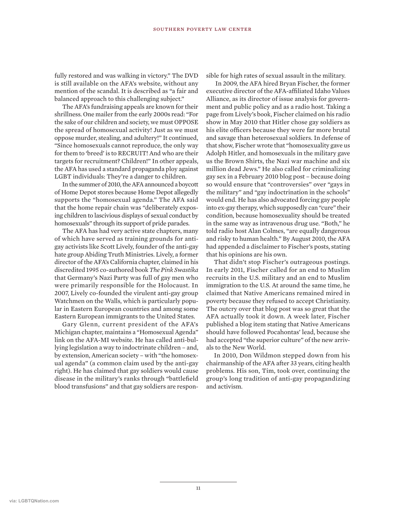fully restored and was walking in victory." The DVD is still available on the AFA's website, without any mention of the scandal. It is described as "a fair and balanced approach to this challenging subject."

The AFA's fundraising appeals are known for their shrillness. One mailer from the early 2000s read: "For the sake of our children and society, we must OPPOSE the spread of homosexual activity! Just as we must oppose murder, stealing, and adultery!" It continued, "Since homosexuals cannot reproduce, the only way for them to 'breed' is to RECRUIT! And who are their targets for recruitment? Children!" In other appeals, the AFA has used a standard propaganda ploy against LGBT individuals: They're a danger to children.

In the summer of 2010, the AFA announced a boycott of Home Depot stores because Home Depot allegedly supports the "homosexual agenda." The AFA said that the home repair chain was "deliberately exposing children to lascivious displays of sexual conduct by homosexuals" through its support of pride parades.

The AFA has had very active state chapters, many of which have served as training grounds for antigay activists like Scott Lively, founder of the anti-gay hate group Abiding Truth Ministries. Lively, a former director of the AFA's California chapter, claimed in his discredited 1995 co-authored book *The Pink Swastika* that Germany's Nazi Party was full of gay men who were primarily responsible for the Holocaust. In 2007, Lively co-founded the virulent anti-gay group Watchmen on the Walls, which is particularly popular in Eastern European countries and among some Eastern European immigrants to the United States.

Gary Glenn, current president of the AFA's Michigan chapter, maintains a "Homosexual Agenda" link on the AFA-MI website. He has called anti-bullying legislation a way to indoctrinate children – and, by extension, American society – with "the homosexual agenda" (a common claim used by the anti-gay right). He has claimed that gay soldiers would cause disease in the military's ranks through "battlefield blood transfusions" and that gay soldiers are responsible for high rates of sexual assault in the military.

In 2009, the AFA hired Bryan Fischer, the former executive director of the AFA-affiliated Idaho Values Alliance, as its director of issue analysis for government and public policy and as a radio host. Taking a page from Lively's book, Fischer claimed on his radio show in May 2010 that Hitler chose gay soldiers as his elite officers because they were far more brutal and savage than heterosexual soldiers. In defense of that show, Fischer wrote that "homosexuality gave us Adolph Hitler, and homosexuals in the military gave us the Brown Shirts, the Nazi war machine and six million dead Jews." He also called for criminalizing gay sex in a February 2010 blog post – because doing so would ensure that "controversies" over "gays in the military" and "gay indoctrination in the schools" would end. He has also advocated forcing gay people into ex-gay therapy, which supposedly can "cure" their condition, because homosexuality should be treated in the same way as intravenous drug use. "Both," he told radio host Alan Colmes, "are equally dangerous and risky to human health." By August 2010, the AFA had appended a disclaimer to Fischer's posts, stating that his opinions are his own.

That didn't stop Fischer's outrageous postings. In early 2011, Fischer called for an end to Muslim recruits in the U.S. military and an end to Muslim immigration to the U.S. At around the same time, he claimed that Native Americans remained mired in poverty because they refused to accept Christianity. The outcry over that blog post was so great that the AFA actually took it down. A week later, Fischer published a blog item stating that Native Americans should have followed Pocahontas' lead, because she had accepted "the superior culture" of the new arrivals to the New World.

In 2010, Don Wildmon stepped down from his chairmanship of the AFA after 33 years, citing health problems. His son, Tim, took over, continuing the group's long tradition of anti-gay propagandizing and activism.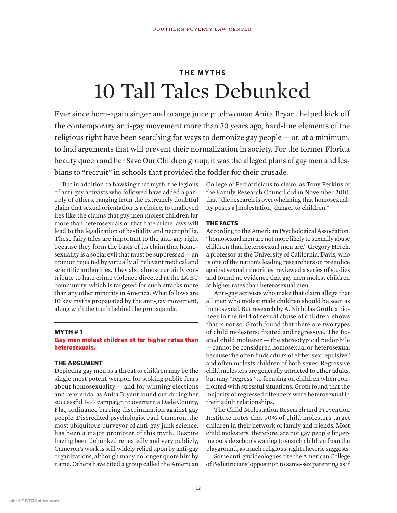### **THE MYTHS** 10 Tall Tales Debunked

Ever since born-again singer and orange juice pitchwoman Anita Bryant helped kick off the contemporary anti-gay movement more than 30 years ago, hard-line elements of the religious right have been searching for ways to demonize gay people — or, at a minimum, to find arguments that will prevent their normalization in society. For the former Florida beauty queen and her Save Our Children group, it was the alleged plans of gay men and lesbians to "recruit" in schools that provided the fodder for their crusade.

But in addition to hawking that myth, the legions of anti-gay activists who followed have added a panoply of others, ranging from the extremely doubtful claim that sexual orientation is a choice, to unalloyed lies like the claims that gay men molest children far more than heterosexuals or that hate crime laws will lead to the legalization of bestiality and necrophilia. These fairy tales are important to the anti-gay right because they form the basis of its claim that homosexuality is a social evil that must be suppressed — an opinion rejected by virtually all relevant medical and scientific authorities. They also almost certainly contribute to hate crime violence directed at the LGBT community, which is targeted for such attacks more than any other minority in America. What follows are 10 key myths propagated by the anti-gay movement, along with the truth behind the propaganda.

#### **MYTH # 1**

**Gay men molest children at far higher rates than heterosexuals.**

#### **THE ARGUMENT**

Depicting gay men as a threat to children may be the single most potent weapon for stoking public fears about homosexuality — and for winning elections and referenda, as Anita Bryant found out during her successful 1977 campaign to overturn a Dade County, Fla., ordinance barring discrimination against gay people. Discredited psychologist Paul Cameron, the most ubiquitous purveyor of anti-gay junk science, has been a major promoter of this myth. Despite having been debunked repeatedly and very publicly, Cameron's work is still widely relied upon by anti-gay organizations, although many no longer quote him by name. Others have cited a group called the American

College of Pediatricians to claim, as Tony Perkins of the Family Research Council did in November 2010, that "the research is overwhelming that homosexuality poses a [molestation] danger to children."

#### **THE FACTS**

According to the American Psychological Association, "homosexual men are not more likely to sexually abuse children than heterosexual men are." Gregory Herek, a professor at the University of California, Davis, who is one of the nation's leading researchers on prejudice against sexual minorities, reviewed a series of studies and found no evidence that gay men molest children at higher rates than heterosexual men.

Anti-gay activists who make that claim allege that all men who molest male children should be seen as homosexual. But research by A. Nicholas Groth, a pioneer in the field of sexual abuse of children, shows that is not so. Groth found that there are two types of child molesters: fixated and regressive. The fixated child molester — the stereotypical pedophile — cannot be considered homosexual or heterosexual because "he often finds adults of either sex repulsive" and often molests children of both sexes. Regressive child molesters are generally attracted to other adults, but may "regress" to focusing on children when confronted with stressful situations. Groth found that the majority of regressed offenders were heterosexual in their adult relationships.

The Child Molestation Research and Prevention Institute notes that 90% of child molesters target children in their network of family and friends. Most child molesters, therefore, are not gay people lingering outside schools waiting to snatch children from the playground, as much religious-right rhetoric suggests.

Some anti-gay ideologues cite the American College of Pediatricians' opposition to same-sex parenting as if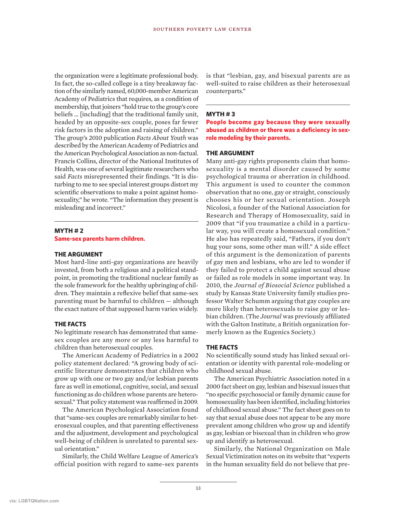the organization were a legitimate professional body. In fact, the so-called college is a tiny breakaway faction of the similarly named, 60,000-member American Academy of Pediatrics that requires, as a condition of membership, that joiners "hold true to the group's core beliefs … [including] that the traditional family unit, headed by an opposite-sex couple, poses far fewer risk factors in the adoption and raising of children." The group's 2010 publication *Facts About Youth* was described by the American Academy of Pediatrics and the American Psychological Association as non-factual. Francis Collins, director of the National Institutes of Health, was one of several legitimate researchers who said *Facts* misrepresented their findings. "It is disturbing to me to see special interest groups distort my scientific observations to make a point against homosexuality," he wrote. "The information they present is misleading and incorrect."

#### **MYTH # 2**

**Same-sex parents harm children.**

#### **THE ARGUMENT**

Most hard-line anti-gay organizations are heavily invested, from both a religious and a political standpoint, in promoting the traditional nuclear family as the sole framework for the healthy upbringing of children. They maintain a reflexive belief that same-sex parenting must be harmful to children — although the exact nature of that supposed harm varies widely.

#### **THE FACTS**

No legitimate research has demonstrated that samesex couples are any more or any less harmful to children than heterosexual couples.

The American Academy of Pediatrics in a 2002 policy statement declared: "A growing body of scientific literature demonstrates that children who grow up with one or two gay and/or lesbian parents fare as well in emotional, cognitive, social, and sexual functioning as do children whose parents are heterosexual." That policy statement was reaffirmed in 2009.

The American Psychological Association found that "same-sex couples are remarkably similar to heterosexual couples, and that parenting effectiveness and the adjustment, development and psychological well-being of children is unrelated to parental sexual orientation."

Similarly, the Child Welfare League of America's official position with regard to same-sex parents is that "lesbian, gay, and bisexual parents are as well-suited to raise children as their heterosexual counterparts."

#### **MYTH # 3**

**People become gay because they were sexually abused as children or there was a deficiency in sexrole modeling by their parents.**

#### **THE ARGUMENT**

Many anti-gay rights proponents claim that homosexuality is a mental disorder caused by some psychological trauma or aberration in childhood. This argument is used to counter the common observation that no one, gay or straight, consciously chooses his or her sexual orientation. Joseph Nicolosi, a founder of the National Association for Research and Therapy of Homosexuality, said in 2009 that "if you traumatize a child in a particular way, you will create a homosexual condition." He also has repeatedly said, "Fathers, if you don't hug your sons, some other man will." A side effect of this argument is the demonization of parents of gay men and lesbians, who are led to wonder if they failed to protect a child against sexual abuse or failed as role models in some important way. In 2010, the *Journal of Biosocial Science* published a study by Kansas State University family studies professor Walter Schumm arguing that gay couples are more likely than heterosexuals to raise gay or lesbian children. (The *Journal* was previously affiliated with the Galton Institute, a British organization formerly known as the Eugenics Society.)

#### **THE FACTS**

No scientifically sound study has linked sexual orientation or identity with parental role-modeling or childhood sexual abuse.

The American Psychiatric Association noted in a 2000 fact sheet on gay, lesbian and bisexual issues that "no specific psychosocial or family dynamic cause for homosexuality has been identified, including histories of childhood sexual abuse." The fact sheet goes on to say that sexual abuse does not appear to be any more prevalent among children who grow up and identify as gay, lesbian or bisexual than in children who grow up and identify as heterosexual.

Similarly, the National Organization on Male Sexual Victimization notes on its website that "experts in the human sexuality field do not believe that pre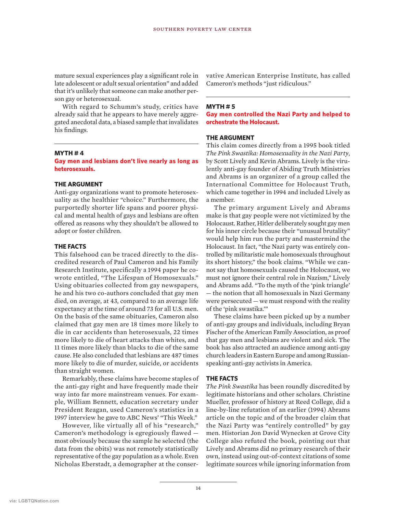mature sexual experiences play a significant role in late adolescent or adult sexual orientation" and added that it's unlikely that someone can make another person gay or heterosexual.

With regard to Schumm's study, critics have already said that he appears to have merely aggregated anecdotal data, a biased sample that invalidates his findings.

#### **MYTH # 4**

#### **Gay men and lesbians don't live nearly as long as heterosexuals.**

#### **THE ARGUMENT**

Anti-gay organizations want to promote heterosexuality as the healthier "choice." Furthermore, the purportedly shorter life spans and poorer physical and mental health of gays and lesbians are often offered as reasons why they shouldn't be allowed to adopt or foster children.

#### **THE FACTS**

This falsehood can be traced directly to the discredited research of Paul Cameron and his Family Research Institute, specifically a 1994 paper he cowrote entitled, "The Lifespan of Homosexuals." Using obituaries collected from gay newspapers, he and his two co-authors concluded that gay men died, on average, at 43, compared to an average life expectancy at the time of around 73 for all U.S. men. On the basis of the same obituaries, Cameron also claimed that gay men are 18 times more likely to die in car accidents than heterosexuals, 22 times more likely to die of heart attacks than whites, and 11 times more likely than blacks to die of the same cause. He also concluded that lesbians are 487 times more likely to die of murder, suicide, or accidents than straight women.

Remarkably, these claims have become staples of the anti-gay right and have frequently made their way into far more mainstream venues. For example, William Bennett, education secretary under President Reagan, used Cameron's statistics in a 1997 interview he gave to ABC News' "This Week."

However, like virtually all of his "research," Cameron's methodology is egregiously flawed most obviously because the sample he selected (the data from the obits) was not remotely statistically representative of the gay population as a whole. Even Nicholas Eberstadt, a demographer at the conservative American Enterprise Institute, has called Cameron's methods "just ridiculous."

#### **MYTH # 5**

**Gay men controlled the Nazi Party and helped to orchestrate the Holocaust.**

#### **THE ARGUMENT**

This claim comes directly from a 1995 book titled *The Pink Swastika: Homosexuality in the Nazi Party*, by Scott Lively and Kevin Abrams. Lively is the virulently anti-gay founder of Abiding Truth Ministries and Abrams is an organizer of a group called the International Committee for Holocaust Truth, which came together in 1994 and included Lively as a member.

The primary argument Lively and Abrams make is that gay people were not victimized by the Holocaust. Rather, Hitler deliberately sought gay men for his inner circle because their "unusual brutality" would help him run the party and mastermind the Holocaust. In fact, "the Nazi party was entirely controlled by militaristic male homosexuals throughout its short history," the book claims. "While we cannot say that homosexuals caused the Holocaust, we must not ignore their central role in Nazism," Lively and Abrams add. "To the myth of the 'pink triangle' — the notion that all homosexuals in Nazi Germany were persecuted — we must respond with the reality of the 'pink swastika.'"

These claims have been picked up by a number of anti-gay groups and individuals, including Bryan Fischer of the American Family Association, as proof that gay men and lesbians are violent and sick. The book has also attracted an audience among anti-gay church leaders in Eastern Europe and among Russianspeaking anti-gay activists in America.

#### **THE FACTS**

*The Pink Swastika* has been roundly discredited by legitimate historians and other scholars. Christine Mueller, professor of history at Reed College, did a line-by-line refutation of an earlier (1994) Abrams article on the topic and of the broader claim that the Nazi Party was "entirely controlled" by gay men. Historian Jon David Wynecken at Grove City College also refuted the book, pointing out that Lively and Abrams did no primary research of their own, instead using out-of-context citations of some legitimate sources while ignoring information from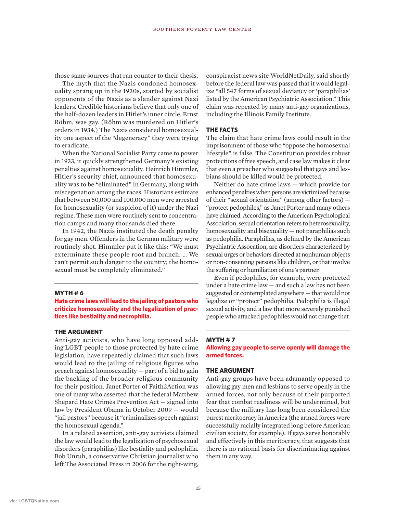those same sources that ran counter to their thesis.

The myth that the Nazis condoned homosexuality sprang up in the 1930s, started by socialist opponents of the Nazis as a slander against Nazi leaders. Credible historians believe that only one of the half-dozen leaders in Hitler's inner circle, Ernst Röhm, was gay. (Röhm was murdered on Hitler's orders in 1934.) The Nazis considered homosexuality one aspect of the "degeneracy" they were trying to eradicate.

When the National Socialist Party came to power in 1933, it quickly strengthened Germany's existing penalties against homosexuality. Heinrich Himmler, Hitler's security chief, announced that homosexuality was to be "eliminated" in Germany, along with miscegenation among the races. Historians estimate that between 50,000 and 100,000 men were arrested for homosexuality (or suspicion of it) under the Nazi regime. These men were routinely sent to concentration camps and many thousands died there.

In 1942, the Nazis instituted the death penalty for gay men. Offenders in the German military were routinely shot. Himmler put it like this: "We must exterminate these people root and branch. … We can't permit such danger to the country; the homosexual must be completely eliminated."

#### **MYTH # 6**

**Hate crime laws will lead to the jailing of pastors who criticize homosexuality and the legalization of practices like bestiality and necrophilia.**

#### **THE ARGUMENT**

Anti-gay activists, who have long opposed adding LGBT people to those protected by hate crime legislation, have repeatedly claimed that such laws would lead to the jailing of religious figures who preach against homosexuality — part of a bid to gain the backing of the broader religious community for their position. Janet Porter of Faith2Action was one of many who asserted that the federal Matthew Shepard Hate Crimes Prevention Act — signed into law by President Obama in October 2009 — would "jail pastors" because it "criminalizes speech against the homosexual agenda."

In a related assertion, anti-gay activists claimed the law would lead to the legalization of psychosexual disorders (paraphilias) like bestiality and pedophilia. Bob Unruh, a conservative Christian journalist who left The Associated Press in 2006 for the right-wing, conspiracist news site WorldNetDaily, said shortly before the federal law was passed that it would legalize "all 547 forms of sexual deviancy or 'paraphilias' listed by the American Psychiatric Association." This claim was repeated by many anti-gay organizations, including the Illinois Family Institute.

#### **THE FACTS**

The claim that hate crime laws could result in the imprisonment of those who "oppose the homosexual lifestyle" is false. The Constitution provides robust protections of free speech, and case law makes it clear that even a preacher who suggested that gays and lesbians should be killed would be protected.

Neither do hate crime laws — which provide for enhanced penalties when persons are victimized because of their "sexual orientation" (among other factors) — "protect pedophiles," as Janet Porter and many others have claimed. According to the American Psychological Association, sexual orientation refers to heterosexuality, homosexuality and bisexuality — not paraphilias such as pedophilia. Paraphilias, as defined by the American Psychiatric Assocation, are disorders characterized by sexual urges or behaviors directed at nonhuman objects or non-consenting persons like children, or that involve the suffering or humiliation of one's partner.

Even if pedophiles, for example, were protected under a hate crime law — and such a law has not been suggested or contemplated anywhere — that would not legalize or "protect" pedophilia. Pedophilia is illegal sexual activity, and a law that more severely punished people who attacked pedophiles would not change that.

#### **MYTH # 7**

**Allowing gay people to serve openly will damage the armed forces.**

#### **THE ARGUMENT**

Anti-gay groups have been adamantly opposed to allowing gay men and lesbians to serve openly in the armed forces, not only because of their purported fear that combat readiness will be undermined, but because the military has long been considered the purest meritocracy in America (the armed forces were successfully racially integrated long before American civilian society, for example). If gays serve honorably and effectively in this meritocracy, that suggests that there is no rational basis for discriminating against them in any way.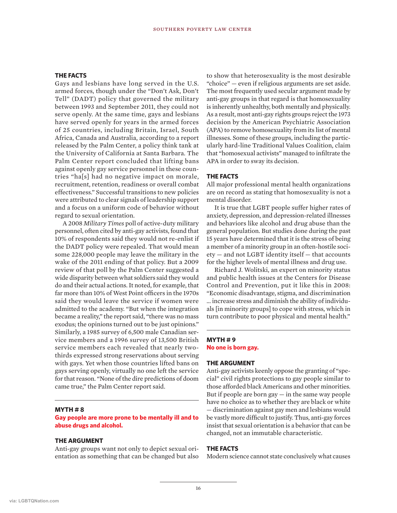#### **THE FACTS**

Gays and lesbians have long served in the U.S. armed forces, though under the "Don't Ask, Don't Tell" (DADT) policy that governed the military between 1993 and September 2011, they could not serve openly. At the same time, gays and lesbians have served openly for years in the armed forces of 25 countries, including Britain, Israel, South Africa, Canada and Australia, according to a report released by the Palm Center, a policy think tank at the University of California at Santa Barbara. The Palm Center report concluded that lifting bans against openly gay service personnel in these countries "ha[s] had no negative impact on morale, recruitment, retention, readiness or overall combat effectiveness." Successful transitions to new policies were attributed to clear signals of leadership support and a focus on a uniform code of behavior without regard to sexual orientation.

A 2008 *Military Times* poll of active-duty military personnel, often cited by anti-gay activists, found that 10% of respondents said they would not re-enlist if the DADT policy were repealed. That would mean some 228,000 people may leave the military in the wake of the 2011 ending of that policy. But a 2009 review of that poll by the Palm Center suggested a wide disparity between what soldiers said they would do and their actual actions. It noted, for example, that far more than 10% of West Point officers in the 1970s said they would leave the service if women were admitted to the academy. "But when the integration became a reality," the report said, "there was no mass exodus; the opinions turned out to be just opinions." Similarly, a 1985 survey of 6,500 male Canadian service members and a 1996 survey of 13,500 British service members each revealed that nearly twothirds expressed strong reservations about serving with gays. Yet when those countries lifted bans on gays serving openly, virtually no one left the service for that reason. "None of the dire predictions of doom came true," the Palm Center report said.

#### **MYTH # 8**

**Gay people are more prone to be mentally ill and to abuse drugs and alcohol.**

#### **THE ARGUMENT**

Anti-gay groups want not only to depict sexual orientation as something that can be changed but also to show that heterosexuality is the most desirable "choice" — even if religious arguments are set aside. The most frequently used secular argument made by anti-gay groups in that regard is that homosexuality is inherently unhealthy, both mentally and physically. As a result, most anti-gay rights groups reject the 1973 decision by the American Psychiatric Association (APA) to remove homosexuality from its list of mental illnesses. Some of these groups, including the particularly hard-line Traditional Values Coalition, claim that "homosexual activists" managed to infiltrate the APA in order to sway its decision.

#### **THE FACTS**

All major professional mental health organizations are on record as stating that homosexuality is not a mental disorder.

It is true that LGBT people suffer higher rates of anxiety, depression, and depression-related illnesses and behaviors like alcohol and drug abuse than the general population. But studies done during the past 15 years have determined that it is the stress of being a member of a minority group in an often-hostile society — and not LGBT identity itself — that accounts for the higher levels of mental illness and drug use.

Richard J. Wolitski, an expert on minority status and public health issues at the Centers for Disease Control and Prevention, put it like this in 2008: "Economic disadvantage, stigma, and discrimination … increase stress and diminish the ability of individuals [in minority groups] to cope with stress, which in turn contribute to poor physical and mental health."

#### **MYTH # 9 No one is born gay.**

#### **THE ARGUMENT**

Anti-gay activists keenly oppose the granting of "special" civil rights protections to gay people similar to those afforded black Americans and other minorities. But if people are born  $\text{gay} - \text{in}$  the same way people have no choice as to whether they are black or white — discrimination against gay men and lesbians would be vastly more difficult to justify. Thus, anti-gay forces insist that sexual orientation is a behavior that can be changed, not an immutable characteristic.

#### **THE FACTS**

Modern science cannot state conclusively what causes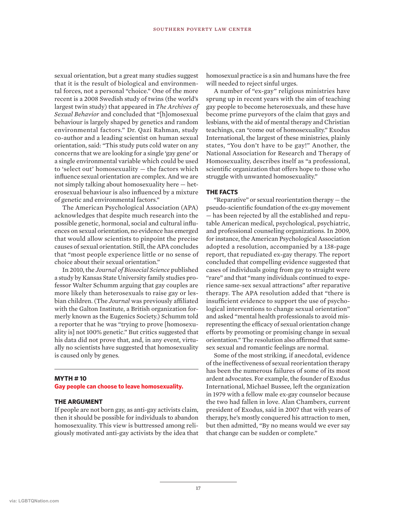sexual orientation, but a great many studies suggest that it is the result of biological and environmental forces, not a personal "choice." One of the more recent is a 2008 Swedish study of twins (the world's largest twin study) that appeared in *The Archives of Sexual Behavior* and concluded that "[h]omosexual behaviour is largely shaped by genetics and random environmental factors." Dr. Qazi Rahman, study co-author and a leading scientist on human sexual orientation, said: "This study puts cold water on any concerns that we are looking for a single 'gay gene' or a single environmental variable which could be used to 'select out' homosexuality — the factors which influence sexual orientation are complex. And we are not simply talking about homosexuality here — heterosexual behaviour is also influenced by a mixture of genetic and environmental factors."

The American Psychological Association (APA) acknowledges that despite much research into the possible genetic, hormonal, social and cultural influences on sexual orientation, no evidence has emerged that would allow scientists to pinpoint the precise causes of sexual orientation. Still, the APA concludes that "most people experience little or no sense of choice about their sexual orientation."

In 2010, the *Journal of Biosocial Science* published a study by Kansas State University family studies professor Walter Schumm arguing that gay couples are more likely than heterosexuals to raise gay or lesbian children. (The *Journal* was previously affiliated with the Galton Institute, a British organization formerly known as the Eugenics Society.) Schumm told a reporter that he was "trying to prove [homosexuality is] not 100% genetic." But critics suggested that his data did not prove that, and, in any event, virtually no scientists have suggested that homosexuality is caused only by genes.

#### **MYTH # 10**

#### **Gay people can choose to leave homosexuality.**

#### **THE ARGUMENT**

If people are not born gay, as anti-gay activists claim, then it should be possible for individuals to abandon homosexuality. This view is buttressed among religiously motivated anti-gay activists by the idea that homosexual practice is a sin and humans have the free will needed to reject sinful urges.

A number of "ex-gay" religious ministries have sprung up in recent years with the aim of teaching gay people to become heterosexuals, and these have become prime purveyors of the claim that gays and lesbians, with the aid of mental therapy and Christian teachings, can "come out of homosexuality." Exodus International, the largest of these ministries, plainly states, "You don't have to be gay!" Another, the National Association for Research and Therapy of Homosexuality, describes itself as "a professional, scientific organization that offers hope to those who struggle with unwanted homosexuality."

#### **THE FACTS**

"Reparative" or sexual reorientation therapy — the pseudo-scientific foundation of the ex-gay movement — has been rejected by all the established and reputable American medical, psychological, psychiatric, and professional counseling organizations. In 2009, for instance, the American Psychological Association adopted a resolution, accompanied by a 138-page report, that repudiated ex-gay therapy. The report concluded that compelling evidence suggested that cases of individuals going from gay to straight were "rare" and that "many individuals continued to experience same-sex sexual attractions" after reparative therapy. The APA resolution added that "there is insufficient evidence to support the use of psychological interventions to change sexual orientation" and asked "mental health professionals to avoid misrepresenting the efficacy of sexual orientation change efforts by promoting or promising change in sexual orientation." The resolution also affirmed that samesex sexual and romantic feelings are normal.

Some of the most striking, if anecdotal, evidence of the ineffectiveness of sexual reorientation therapy has been the numerous failures of some of its most ardent advocates. For example, the founder of Exodus International, Michael Bussee, left the organization in 1979 with a fellow male ex-gay counselor because the two had fallen in love. Alan Chambers, current president of Exodus, said in 2007 that with years of therapy, he's mostly conquered his attraction to men, but then admitted, "By no means would we ever say that change can be sudden or complete."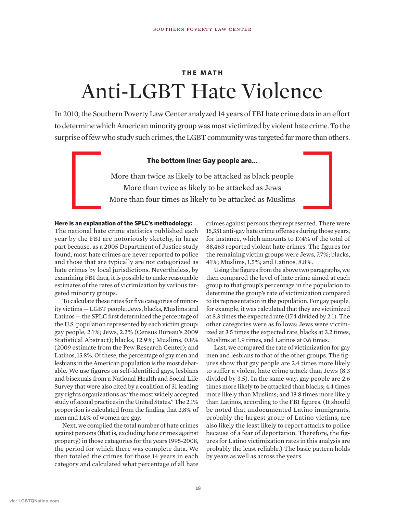### **THE MATH** Anti-LGBT Hate Violence

In 2010, the Southern Poverty Law Center analyzed 14 years of FBI hate crime data in an effort to determine which American minority group was most victimized by violent hate crime. To the surprise of few who study such crimes, the LGBT community was targeted far more than others.

#### **The bottom line: Gay people are…**

More than twice as likely to be attacked as black people More than twice as likely to be attacked as Jews More than four times as likely to be attacked as Muslims

#### **Here is an explanation of the SPLC's methodology:**

The national hate crime statistics published each year by the FBI are notoriously sketchy, in large part because, as a 2005 Department of Justice study found, most hate crimes are never reported to police and those that are typically are not categorized as hate crimes by local jurisdictions. Nevertheless, by examining FBI data, it is possible to make reasonable estimates of the rates of victimization by various targeted minority groups.

To calculate these rates for five categories of minority victims — LGBT people, Jews, blacks, Muslims and Latinos — the SPLC first determined the percentage of the U.S. population represented by each victim group: gay people, 2.1%; Jews, 2.2% (Census Bureau's 2009 Statistical Abstract); blacks, 12.9%; Muslims, 0.8% (2009 estimate from the Pew Research Center); and Latinos, 15.8%. Of these, the percentage of gay men and lesbians in the American population is the most debatable. We use figures on self-identified gays, lesbians and bisexuals from a National Health and Social Life Survey that were also cited by a coalition of 31 leading gay rights organizations as "the most widely accepted study of sexual practices in the United States." The 2.1% proportion is calculated from the finding that 2.8% of men and 1.4% of women are gay.

Next, we compiled the total number of hate crimes against persons (that is, excluding hate crimes against property) in those categories for the years 1995-2008, the period for which there was complete data. We then totaled the crimes for those 14 years in each category and calculated what percentage of all hate

crimes against persons they represented. There were 15,351 anti-gay hate crime offenses during those years, for instance, which amounts to 17.4% of the total of 88,463 reported violent hate crimes. The figures for the remaining victim groups were Jews, 7.7%; blacks, 41%; Muslims, 1.5%; and Latinos, 8.8%.

Using the figures from the above two paragraphs, we then compared the level of hate crime aimed at each group to that group's percentage in the population to determine the group's rate of victimization compared to its representation in the population. For gay people, for example, it was calculated that they are victimized at 8.3 times the expected rate (17.4 divided by 2.1). The other categories were as follows: Jews were victimized at 3.5 times the expected rate, blacks at 3.2 times, Muslims at 1.9 times, and Latinos at 0.6 times.

Last, we compared the rate of victimization for gay men and lesbians to that of the other groups. The figures show that gay people are 2.4 times more likely to suffer a violent hate crime attack than Jews (8.3 divided by 3.5). In the same way, gay people are 2.6 times more likely to be attacked than blacks; 4.4 times more likely than Muslims; and 13.8 times more likely than Latinos, according to the FBI figures. (It should be noted that undocumented Latino immigrants, probably the largest group of Latino victims, are also likely the least likely to report attacks to police because of a fear of deportation. Therefore, the figures for Latino victimization rates in this analysis are probably the least reliable.) The basic pattern holds by years as well as across the years.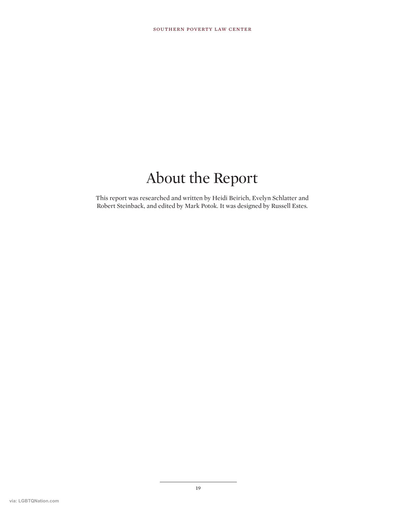### About the Report

This report was researched and written by Heidi Beirich, Evelyn Schlatter and Robert Steinback, and edited by Mark Potok. It was designed by Russell Estes.